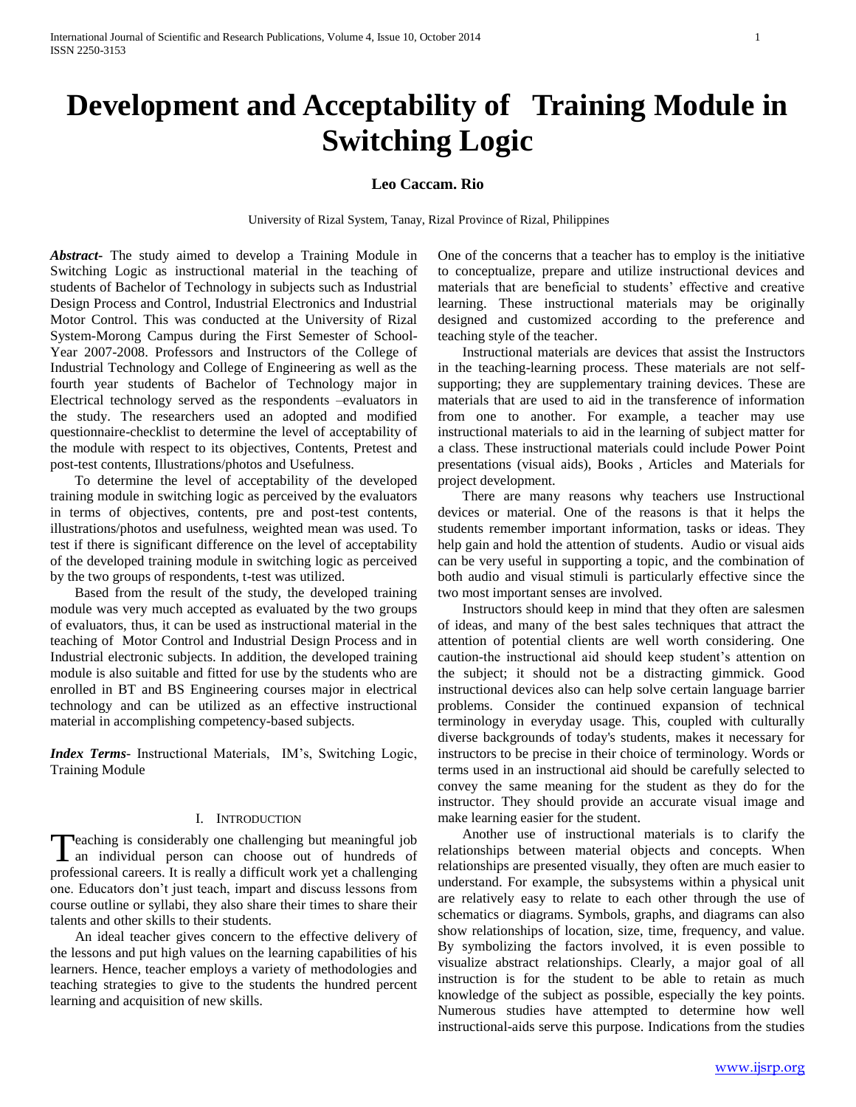# **Development and Acceptability of Training Module in Switching Logic**

## **Leo Caccam. Rio**

University of Rizal System, Tanay, Rizal Province of Rizal, Philippines

*Abstract***-** The study aimed to develop a Training Module in Switching Logic as instructional material in the teaching of students of Bachelor of Technology in subjects such as Industrial Design Process and Control, Industrial Electronics and Industrial Motor Control. This was conducted at the University of Rizal System-Morong Campus during the First Semester of School-Year 2007-2008. Professors and Instructors of the College of Industrial Technology and College of Engineering as well as the fourth year students of Bachelor of Technology major in Electrical technology served as the respondents –evaluators in the study. The researchers used an adopted and modified questionnaire-checklist to determine the level of acceptability of the module with respect to its objectives, Contents, Pretest and post-test contents, Illustrations/photos and Usefulness.

 To determine the level of acceptability of the developed training module in switching logic as perceived by the evaluators in terms of objectives, contents, pre and post-test contents, illustrations/photos and usefulness, weighted mean was used. To test if there is significant difference on the level of acceptability of the developed training module in switching logic as perceived by the two groups of respondents, t-test was utilized.

 Based from the result of the study, the developed training module was very much accepted as evaluated by the two groups of evaluators, thus, it can be used as instructional material in the teaching of Motor Control and Industrial Design Process and in Industrial electronic subjects. In addition, the developed training module is also suitable and fitted for use by the students who are enrolled in BT and BS Engineering courses major in electrical technology and can be utilized as an effective instructional material in accomplishing competency-based subjects.

*Index Terms*- Instructional Materials, IM"s, Switching Logic, Training Module

## I. INTRODUCTION

eaching is considerably one challenging but meaningful job Teaching is considerably one challenging but meaningful job<br>an individual person can choose out of hundreds of professional careers. It is really a difficult work yet a challenging one. Educators don"t just teach, impart and discuss lessons from course outline or syllabi, they also share their times to share their talents and other skills to their students.

 An ideal teacher gives concern to the effective delivery of the lessons and put high values on the learning capabilities of his learners. Hence, teacher employs a variety of methodologies and teaching strategies to give to the students the hundred percent learning and acquisition of new skills.

One of the concerns that a teacher has to employ is the initiative to conceptualize, prepare and utilize instructional devices and materials that are beneficial to students' effective and creative learning. These instructional materials may be originally designed and customized according to the preference and teaching style of the teacher.

 Instructional materials are devices that assist the Instructors in the teaching-learning process. These materials are not selfsupporting; they are supplementary training devices. These are materials that are used to aid in the transference of information from one to another. For example, a teacher may use instructional materials to aid in the learning of subject matter for a class. These instructional materials could include Power Point presentations (visual aids), Books , Articles and Materials for project development.

 There are many reasons why teachers use Instructional devices or material. One of the reasons is that it helps the students remember important information, tasks or ideas. They help gain and hold the attention of students. Audio or visual aids can be very useful in supporting a topic, and the combination of both audio and visual stimuli is particularly effective since the two most important senses are involved.

 Instructors should keep in mind that they often are salesmen of ideas, and many of the best sales techniques that attract the attention of potential clients are well worth considering. One caution-the instructional aid should keep student"s attention on the subject; it should not be a distracting gimmick. Good instructional devices also can help solve certain language barrier problems. Consider the continued expansion of technical terminology in everyday usage. This, coupled with culturally diverse backgrounds of today's students, makes it necessary for instructors to be precise in their choice of terminology. Words or terms used in an instructional aid should be carefully selected to convey the same meaning for the student as they do for the instructor. They should provide an accurate visual image and make learning easier for the student.

 Another use of instructional materials is to clarify the relationships between material objects and concepts. When relationships are presented visually, they often are much easier to understand. For example, the subsystems within a physical unit are relatively easy to relate to each other through the use of schematics or diagrams. Symbols, graphs, and diagrams can also show relationships of location, size, time, frequency, and value. By symbolizing the factors involved, it is even possible to visualize abstract relationships. Clearly, a major goal of all instruction is for the student to be able to retain as much knowledge of the subject as possible, especially the key points. Numerous studies have attempted to determine how well instructional-aids serve this purpose. Indications from the studies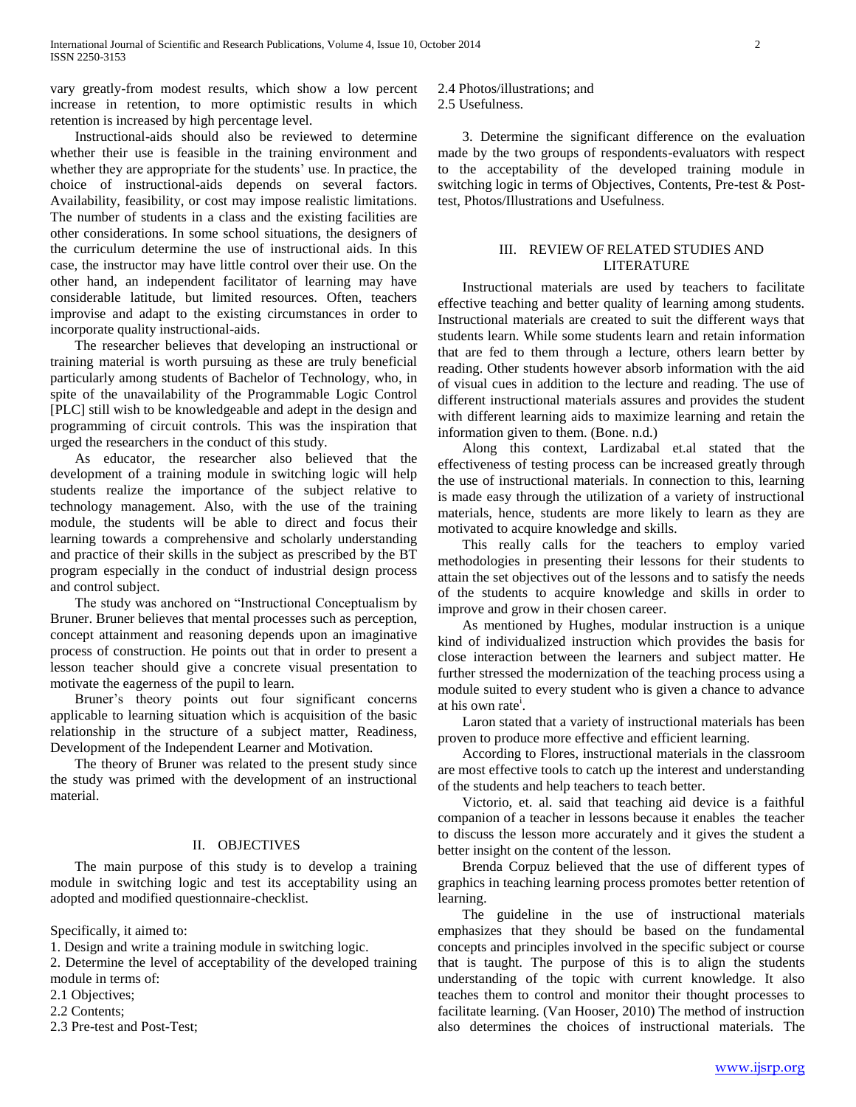vary greatly-from modest results, which show a low percent increase in retention, to more optimistic results in which retention is increased by high percentage level.

 Instructional-aids should also be reviewed to determine whether their use is feasible in the training environment and whether they are appropriate for the students' use. In practice, the choice of instructional-aids depends on several factors. Availability, feasibility, or cost may impose realistic limitations. The number of students in a class and the existing facilities are other considerations. In some school situations, the designers of the curriculum determine the use of instructional aids. In this case, the instructor may have little control over their use. On the other hand, an independent facilitator of learning may have considerable latitude, but limited resources. Often, teachers improvise and adapt to the existing circumstances in order to incorporate quality instructional-aids.

 The researcher believes that developing an instructional or training material is worth pursuing as these are truly beneficial particularly among students of Bachelor of Technology, who, in spite of the unavailability of the Programmable Logic Control [PLC] still wish to be knowledgeable and adept in the design and programming of circuit controls. This was the inspiration that urged the researchers in the conduct of this study.

 As educator, the researcher also believed that the development of a training module in switching logic will help students realize the importance of the subject relative to technology management. Also, with the use of the training module, the students will be able to direct and focus their learning towards a comprehensive and scholarly understanding and practice of their skills in the subject as prescribed by the BT program especially in the conduct of industrial design process and control subject.

 The study was anchored on "Instructional Conceptualism by Bruner. Bruner believes that mental processes such as perception, concept attainment and reasoning depends upon an imaginative process of construction. He points out that in order to present a lesson teacher should give a concrete visual presentation to motivate the eagerness of the pupil to learn.

Bruner's theory points out four significant concerns applicable to learning situation which is acquisition of the basic relationship in the structure of a subject matter, Readiness, Development of the Independent Learner and Motivation.

 The theory of Bruner was related to the present study since the study was primed with the development of an instructional material.

#### II. OBJECTIVES

 The main purpose of this study is to develop a training module in switching logic and test its acceptability using an adopted and modified questionnaire-checklist.

Specifically, it aimed to:

1. Design and write a training module in switching logic.

2. Determine the level of acceptability of the developed training module in terms of:

2.1 Objectives;

2.2 Contents;

2.3 Pre-test and Post-Test;

## 2.4 Photos/illustrations; and

2.5 Usefulness.

 3. Determine the significant difference on the evaluation made by the two groups of respondents-evaluators with respect to the acceptability of the developed training module in switching logic in terms of Objectives, Contents, Pre-test & Posttest, Photos/Illustrations and Usefulness.

## III. REVIEW OF RELATED STUDIES AND LITERATURE

 Instructional materials are used by teachers to facilitate effective teaching and better quality of learning among students. Instructional materials are created to suit the different ways that students learn. While some students learn and retain information that are fed to them through a lecture, others learn better by reading. Other students however absorb information with the aid of visual cues in addition to the lecture and reading. The use of different instructional materials assures and provides the student with different learning aids to maximize learning and retain the information given to them. (Bone. n.d.)

 Along this context, Lardizabal et.al stated that the effectiveness of testing process can be increased greatly through the use of instructional materials. In connection to this, learning is made easy through the utilization of a variety of instructional materials, hence, students are more likely to learn as they are motivated to acquire knowledge and skills.

 This really calls for the teachers to employ varied methodologies in presenting their lessons for their students to attain the set objectives out of the lessons and to satisfy the needs of the students to acquire knowledge and skills in order to improve and grow in their chosen career.

 As mentioned by Hughes, modular instruction is a unique kind of individualized instruction which provides the basis for close interaction between the learners and subject matter. He further stressed the modernization of the teaching process using a module suited to every student who is given a chance to advance at his own rate<sup>i</sup>.

 Laron stated that a variety of instructional materials has been proven to produce more effective and efficient learning.

 According to Flores, instructional materials in the classroom are most effective tools to catch up the interest and understanding of the students and help teachers to teach better.

 Victorio, et. al. said that teaching aid device is a faithful companion of a teacher in lessons because it enables the teacher to discuss the lesson more accurately and it gives the student a better insight on the content of the lesson.

 Brenda Corpuz believed that the use of different types of graphics in teaching learning process promotes better retention of learning.

 The guideline in the use of instructional materials emphasizes that they should be based on the fundamental concepts and principles involved in the specific subject or course that is taught. The purpose of this is to align the students understanding of the topic with current knowledge. It also teaches them to control and monitor their thought processes to facilitate learning. (Van Hooser, 2010) The method of instruction also determines the choices of instructional materials. The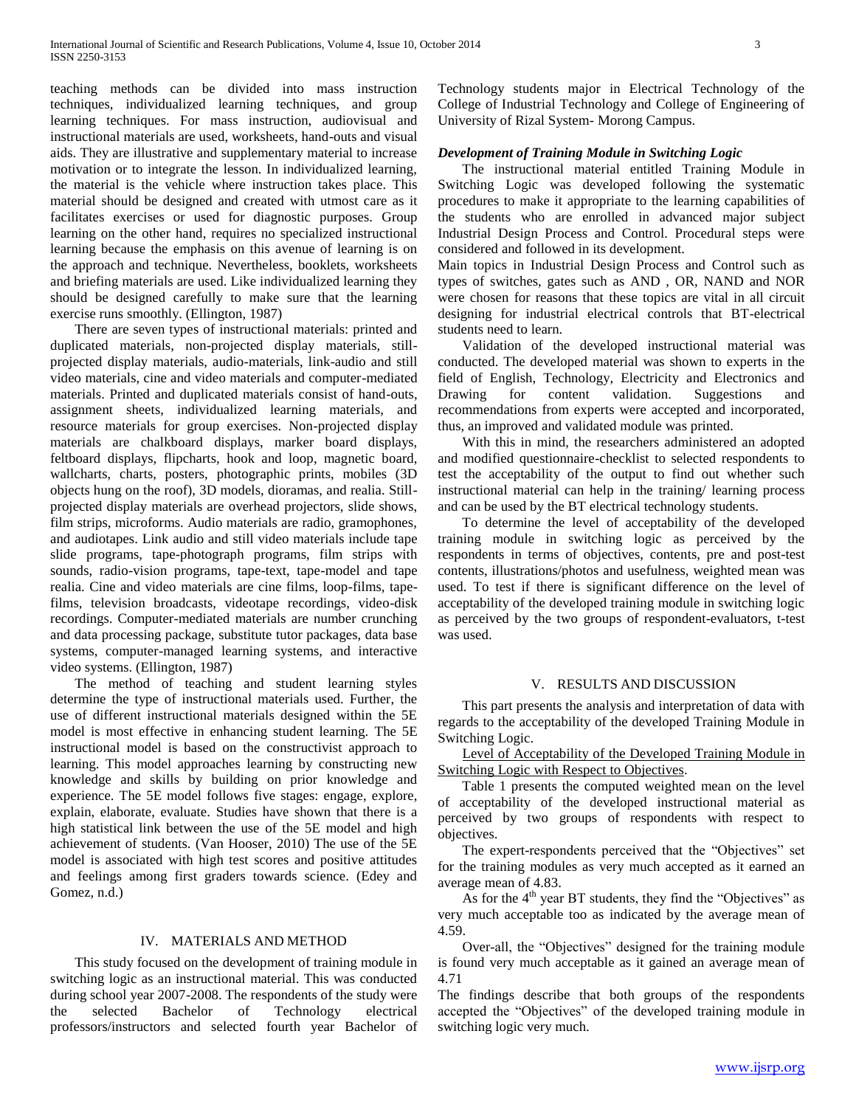teaching methods can be divided into mass instruction techniques, individualized learning techniques, and group learning techniques. For mass instruction, audiovisual and instructional materials are used, worksheets, hand-outs and visual aids. They are illustrative and supplementary material to increase motivation or to integrate the lesson. In individualized learning, the material is the vehicle where instruction takes place. This material should be designed and created with utmost care as it facilitates exercises or used for diagnostic purposes. Group learning on the other hand, requires no specialized instructional learning because the emphasis on this avenue of learning is on the approach and technique. Nevertheless, booklets, worksheets and briefing materials are used. Like individualized learning they should be designed carefully to make sure that the learning exercise runs smoothly. (Ellington, 1987)

 There are seven types of instructional materials: printed and duplicated materials, non-projected display materials, stillprojected display materials, audio-materials, link-audio and still video materials, cine and video materials and computer-mediated materials. Printed and duplicated materials consist of hand-outs, assignment sheets, individualized learning materials, and resource materials for group exercises. Non-projected display materials are chalkboard displays, marker board displays, feltboard displays, flipcharts, hook and loop, magnetic board, wallcharts, charts, posters, photographic prints, mobiles (3D objects hung on the roof), 3D models, dioramas, and realia. Stillprojected display materials are overhead projectors, slide shows, film strips, microforms. Audio materials are radio, gramophones, and audiotapes. Link audio and still video materials include tape slide programs, tape-photograph programs, film strips with sounds, radio-vision programs, tape-text, tape-model and tape realia. Cine and video materials are cine films, loop-films, tapefilms, television broadcasts, videotape recordings, video-disk recordings. Computer-mediated materials are number crunching and data processing package, substitute tutor packages, data base systems, computer-managed learning systems, and interactive video systems. (Ellington, 1987)

 The method of teaching and student learning styles determine the type of instructional materials used. Further, the use of different instructional materials designed within the 5E model is most effective in enhancing student learning. The 5E instructional model is based on the constructivist approach to learning. This model approaches learning by constructing new knowledge and skills by building on prior knowledge and experience. The 5E model follows five stages: engage, explore, explain, elaborate, evaluate. Studies have shown that there is a high statistical link between the use of the 5E model and high achievement of students. (Van Hooser, 2010) The use of the 5E model is associated with high test scores and positive attitudes and feelings among first graders towards science. (Edey and Gomez, n.d.)

#### IV. MATERIALS AND METHOD

 This study focused on the development of training module in switching logic as an instructional material. This was conducted during school year 2007-2008. The respondents of the study were the selected Bachelor of Technology electrical professors/instructors and selected fourth year Bachelor of Technology students major in Electrical Technology of the College of Industrial Technology and College of Engineering of University of Rizal System- Morong Campus.

## *Development of Training Module in Switching Logic*

 The instructional material entitled Training Module in Switching Logic was developed following the systematic procedures to make it appropriate to the learning capabilities of the students who are enrolled in advanced major subject Industrial Design Process and Control. Procedural steps were considered and followed in its development.

Main topics in Industrial Design Process and Control such as types of switches, gates such as AND , OR, NAND and NOR were chosen for reasons that these topics are vital in all circuit designing for industrial electrical controls that BT-electrical students need to learn.

 Validation of the developed instructional material was conducted. The developed material was shown to experts in the field of English, Technology, Electricity and Electronics and Drawing for content validation. Suggestions and recommendations from experts were accepted and incorporated, thus, an improved and validated module was printed.

 With this in mind, the researchers administered an adopted and modified questionnaire-checklist to selected respondents to test the acceptability of the output to find out whether such instructional material can help in the training/ learning process and can be used by the BT electrical technology students.

 To determine the level of acceptability of the developed training module in switching logic as perceived by the respondents in terms of objectives, contents, pre and post-test contents, illustrations/photos and usefulness, weighted mean was used. To test if there is significant difference on the level of acceptability of the developed training module in switching logic as perceived by the two groups of respondent-evaluators, t-test was used.

## V. RESULTS AND DISCUSSION

 This part presents the analysis and interpretation of data with regards to the acceptability of the developed Training Module in Switching Logic.

 Level of Acceptability of the Developed Training Module in Switching Logic with Respect to Objectives.

 Table 1 presents the computed weighted mean on the level of acceptability of the developed instructional material as perceived by two groups of respondents with respect to objectives.

 The expert-respondents perceived that the "Objectives" set for the training modules as very much accepted as it earned an average mean of 4.83.

As for the  $4<sup>th</sup>$  year BT students, they find the "Objectives" as very much acceptable too as indicated by the average mean of 4.59.

 Over-all, the "Objectives" designed for the training module is found very much acceptable as it gained an average mean of 4.71

The findings describe that both groups of the respondents accepted the "Objectives" of the developed training module in switching logic very much.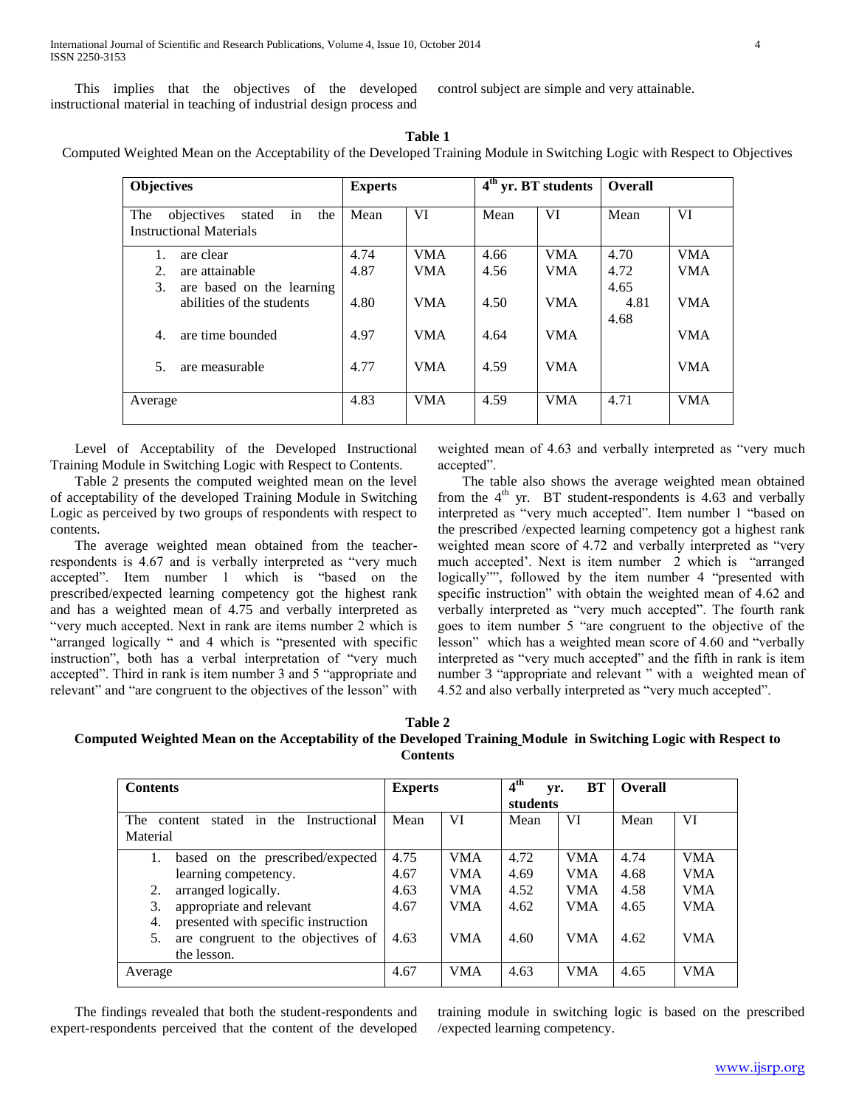This implies that the objectives of the developed instructional material in teaching of industrial design process and control subject are simple and very attainable.

| <b>Objectives</b>                                                          | <b>Experts</b> |                          |              | $4th$ yr. BT students    | <b>Overall</b>       |                          |
|----------------------------------------------------------------------------|----------------|--------------------------|--------------|--------------------------|----------------------|--------------------------|
| The<br>in<br>objectives<br>the<br>stated<br><b>Instructional Materials</b> | Mean           | VI                       | Mean         | VI                       | Mean                 | VI                       |
| are clear<br>2.<br>are attainable<br>3.<br>are based on the learning       | 4.74<br>4.87   | <b>VMA</b><br><b>VMA</b> | 4.66<br>4.56 | <b>VMA</b><br><b>VMA</b> | 4.70<br>4.72<br>4.65 | <b>VMA</b><br><b>VMA</b> |
| abilities of the students                                                  | 4.80           | <b>VMA</b>               | 4.50         | <b>VMA</b>               | 4.81<br>4.68         | <b>VMA</b>               |
| are time bounded<br>$\mathbf{4}$ .                                         | 4.97           | <b>VMA</b>               | 4.64         | <b>VMA</b>               |                      | <b>VMA</b>               |
| .5.<br>are measurable                                                      | 4.77           | <b>VMA</b>               | 4.59         | <b>VMA</b>               |                      | <b>VMA</b>               |
| Average                                                                    | 4.83           | <b>VMA</b>               | 4.59         | <b>VMA</b>               | 4.71                 | <b>VMA</b>               |

**Table 1** Computed Weighted Mean on the Acceptability of the Developed Training Module in Switching Logic with Respect to Objectives

 Level of Acceptability of the Developed Instructional Training Module in Switching Logic with Respect to Contents.

 Table 2 presents the computed weighted mean on the level of acceptability of the developed Training Module in Switching Logic as perceived by two groups of respondents with respect to contents.

 The average weighted mean obtained from the teacherrespondents is 4.67 and is verbally interpreted as "very much accepted". Item number 1 which is "based on the prescribed/expected learning competency got the highest rank and has a weighted mean of 4.75 and verbally interpreted as "very much accepted. Next in rank are items number 2 which is "arranged logically " and 4 which is "presented with specific instruction", both has a verbal interpretation of "very much accepted". Third in rank is item number 3 and 5 "appropriate and relevant" and "are congruent to the objectives of the lesson" with

weighted mean of 4.63 and verbally interpreted as "very much accepted".

 The table also shows the average weighted mean obtained from the  $4<sup>th</sup>$  yr. BT student-respondents is 4.63 and verbally interpreted as "very much accepted". Item number 1 "based on the prescribed /expected learning competency got a highest rank weighted mean score of 4.72 and verbally interpreted as "very much accepted'. Next is item number 2 which is "arranged logically"", followed by the item number 4 "presented with specific instruction" with obtain the weighted mean of 4.62 and verbally interpreted as "very much accepted". The fourth rank goes to item number 5 "are congruent to the objective of the lesson" which has a weighted mean score of 4.60 and "verbally interpreted as "very much accepted" and the fifth in rank is item number 3 "appropriate and relevant" with a weighted mean of 4.52 and also verbally interpreted as "very much accepted".

| Table 2                                                                                                         |
|-----------------------------------------------------------------------------------------------------------------|
| Computed Weighted Mean on the Acceptability of the Developed Training Module in Switching Logic with Respect to |
| Contents                                                                                                        |

| <b>Contents</b>                                                                                                                                                                                                                 | <b>Experts</b>                       |                                                                    | $\overline{4}^{\text{th}}$<br>BT<br>yr.<br>students |                                                                    | <b>Overall</b>                       |                                                                    |
|---------------------------------------------------------------------------------------------------------------------------------------------------------------------------------------------------------------------------------|--------------------------------------|--------------------------------------------------------------------|-----------------------------------------------------|--------------------------------------------------------------------|--------------------------------------|--------------------------------------------------------------------|
| stated in the<br><b>The</b><br>Instructional<br>content<br>Material                                                                                                                                                             | Mean                                 | VI                                                                 | Mean                                                | VI                                                                 | Mean                                 | VI                                                                 |
| based on the prescribed/expected<br>learning competency.<br>arranged logically.<br>2.<br>appropriate and relevant<br>3.<br>presented with specific instruction<br>4.<br>are congruent to the objectives of<br>5.<br>the lesson. | 4.75<br>4.67<br>4.63<br>4.67<br>4.63 | <b>VMA</b><br><b>VMA</b><br><b>VMA</b><br><b>VMA</b><br><b>VMA</b> | 4.72<br>4.69<br>4.52<br>4.62<br>4.60                | <b>VMA</b><br><b>VMA</b><br><b>VMA</b><br><b>VMA</b><br><b>VMA</b> | 4.74<br>4.68<br>4.58<br>4.65<br>4.62 | <b>VMA</b><br><b>VMA</b><br><b>VMA</b><br><b>VMA</b><br><b>VMA</b> |
| Average                                                                                                                                                                                                                         | 4.67                                 | <b>VMA</b>                                                         | 4.63                                                | <b>VMA</b>                                                         | 4.65                                 | <b>VMA</b>                                                         |

 The findings revealed that both the student-respondents and expert-respondents perceived that the content of the developed training module in switching logic is based on the prescribed /expected learning competency.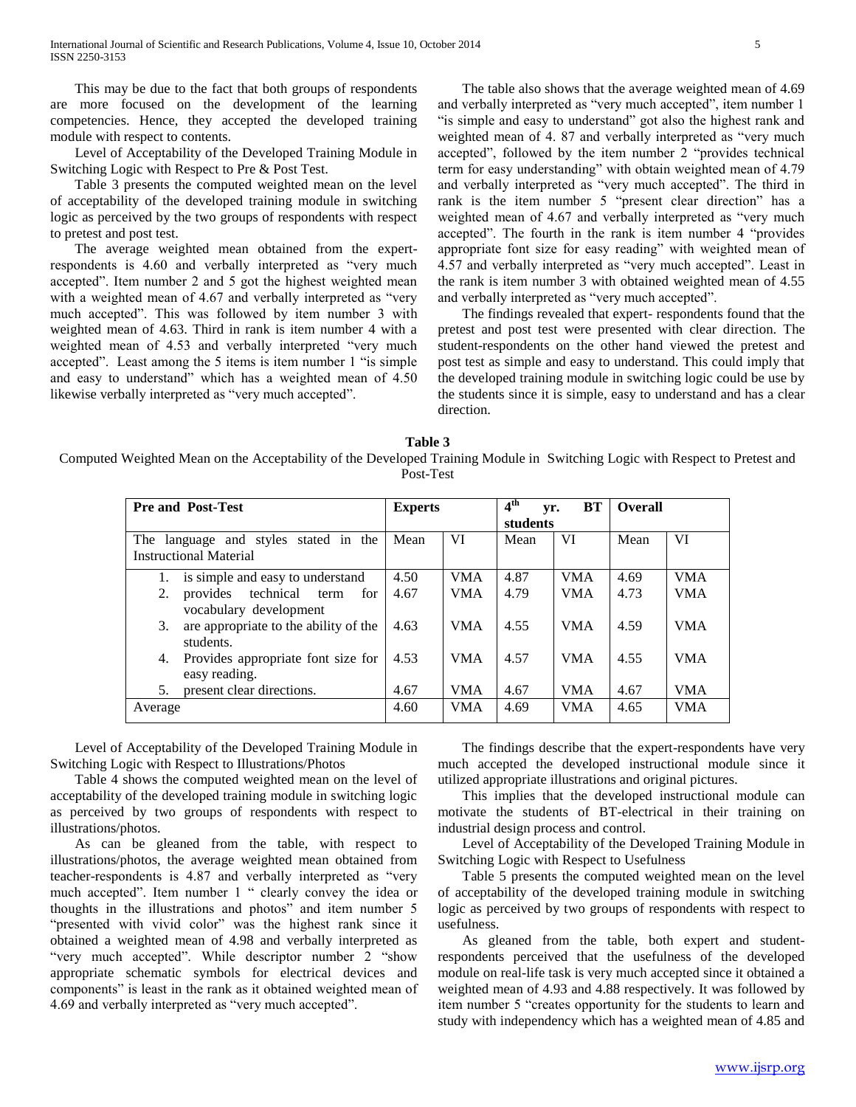This may be due to the fact that both groups of respondents are more focused on the development of the learning competencies. Hence, they accepted the developed training module with respect to contents.

 Level of Acceptability of the Developed Training Module in Switching Logic with Respect to Pre & Post Test.

 Table 3 presents the computed weighted mean on the level of acceptability of the developed training module in switching logic as perceived by the two groups of respondents with respect to pretest and post test.

 The average weighted mean obtained from the expertrespondents is 4.60 and verbally interpreted as "very much accepted". Item number 2 and 5 got the highest weighted mean with a weighted mean of 4.67 and verbally interpreted as "very much accepted". This was followed by item number 3 with weighted mean of 4.63. Third in rank is item number 4 with a weighted mean of 4.53 and verbally interpreted "very much accepted". Least among the 5 items is item number 1 "is simple and easy to understand" which has a weighted mean of 4.50 likewise verbally interpreted as "very much accepted".

 The table also shows that the average weighted mean of 4.69 and verbally interpreted as "very much accepted", item number 1 "is simple and easy to understand" got also the highest rank and weighted mean of 4. 87 and verbally interpreted as "very much accepted", followed by the item number 2 "provides technical term for easy understanding" with obtain weighted mean of 4.79 and verbally interpreted as "very much accepted". The third in rank is the item number 5 "present clear direction" has a weighted mean of 4.67 and verbally interpreted as "very much accepted". The fourth in the rank is item number 4 "provides appropriate font size for easy reading" with weighted mean of 4.57 and verbally interpreted as "very much accepted". Least in the rank is item number 3 with obtained weighted mean of 4.55 and verbally interpreted as "very much accepted".

 The findings revealed that expert- respondents found that the pretest and post test were presented with clear direction. The student-respondents on the other hand viewed the pretest and post test as simple and easy to understand. This could imply that the developed training module in switching logic could be use by the students since it is simple, easy to understand and has a clear direction.

**Table 3**

Computed Weighted Mean on the Acceptability of the Developed Training Module in Switching Logic with Respect to Pretest and Post-Test

| <b>Pre and Post-Test</b>                                               | <b>Experts</b> |            | 4 <sup>th</sup><br><b>BT</b><br>yr.<br>students |            | <b>Overall</b> |            |
|------------------------------------------------------------------------|----------------|------------|-------------------------------------------------|------------|----------------|------------|
| The language and styles stated in the<br><b>Instructional Material</b> | Mean           | VI         | Mean                                            | VI         | Mean           | VI         |
| is simple and easy to understand                                       | 4.50           | VMA        | 4.87                                            | <b>VMA</b> | 4.69           | <b>VMA</b> |
| 2.<br>technical term<br>provides<br>for<br>vocabulary development      | 4.67           | VMA        | 4.79                                            | <b>VMA</b> | 4.73           | <b>VMA</b> |
| are appropriate to the ability of the<br>3.<br>students.               | 4.63           | VMA        | 4.55                                            | <b>VMA</b> | 4.59           | <b>VMA</b> |
| Provides appropriate font size for<br>4.<br>easy reading.              | 4.53           | <b>VMA</b> | 4.57                                            | <b>VMA</b> | 4.55           | <b>VMA</b> |
| present clear directions.<br>5.                                        | 4.67           | VMA        | 4.67                                            | <b>VMA</b> | 4.67           | <b>VMA</b> |
| Average                                                                | 4.60           | VMA        | 4.69                                            | <b>VMA</b> | 4.65           | <b>VMA</b> |

 Level of Acceptability of the Developed Training Module in Switching Logic with Respect to Illustrations/Photos

 Table 4 shows the computed weighted mean on the level of acceptability of the developed training module in switching logic as perceived by two groups of respondents with respect to illustrations/photos.

 As can be gleaned from the table, with respect to illustrations/photos, the average weighted mean obtained from teacher-respondents is 4.87 and verbally interpreted as "very much accepted". Item number 1 " clearly convey the idea or thoughts in the illustrations and photos" and item number 5 "presented with vivid color" was the highest rank since it obtained a weighted mean of 4.98 and verbally interpreted as "very much accepted". While descriptor number 2 "show appropriate schematic symbols for electrical devices and components" is least in the rank as it obtained weighted mean of 4.69 and verbally interpreted as "very much accepted".

 The findings describe that the expert-respondents have very much accepted the developed instructional module since it utilized appropriate illustrations and original pictures.

 This implies that the developed instructional module can motivate the students of BT-electrical in their training on industrial design process and control.

 Level of Acceptability of the Developed Training Module in Switching Logic with Respect to Usefulness

 Table 5 presents the computed weighted mean on the level of acceptability of the developed training module in switching logic as perceived by two groups of respondents with respect to usefulness.

 As gleaned from the table, both expert and studentrespondents perceived that the usefulness of the developed module on real-life task is very much accepted since it obtained a weighted mean of 4.93 and 4.88 respectively. It was followed by item number 5 "creates opportunity for the students to learn and study with independency which has a weighted mean of 4.85 and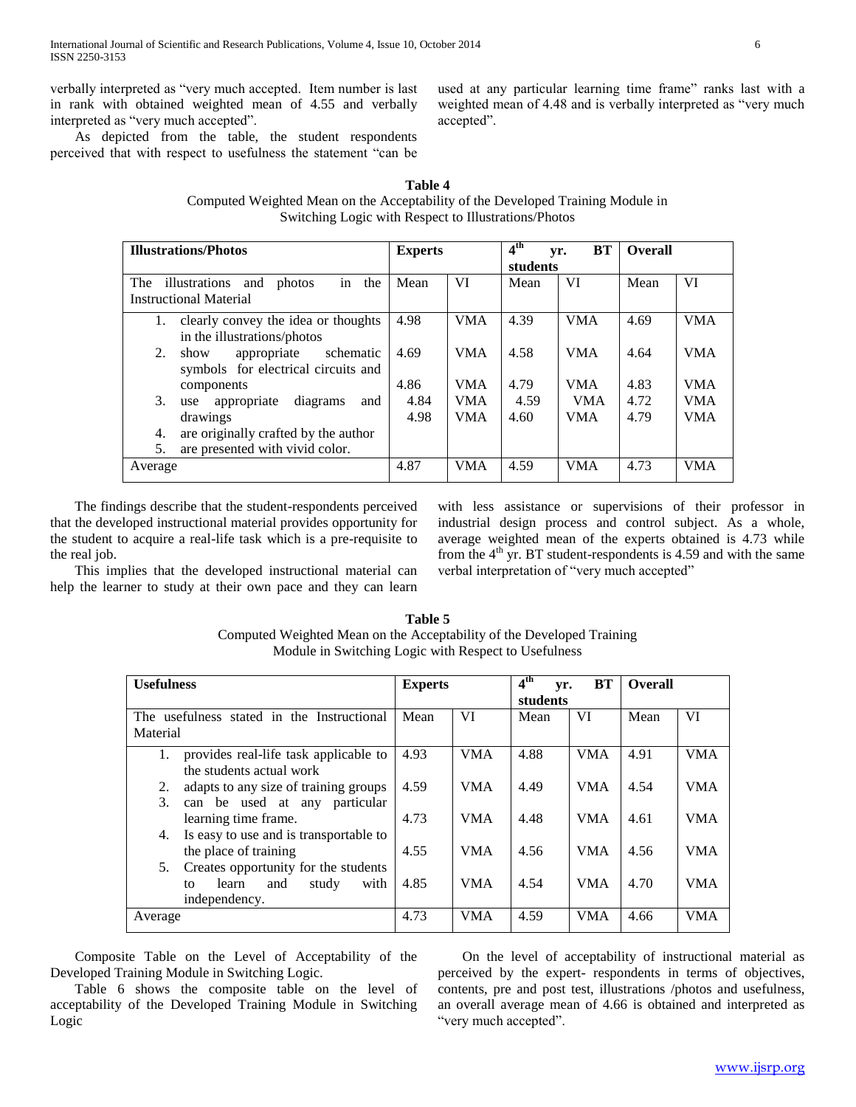verbally interpreted as "very much accepted. Item number is last in rank with obtained weighted mean of 4.55 and verbally interpreted as "very much accepted".

 As depicted from the table, the student respondents perceived that with respect to usefulness the statement "can be used at any particular learning time frame" ranks last with a weighted mean of 4.48 and is verbally interpreted as "very much accepted".

**Table 4**

Computed Weighted Mean on the Acceptability of the Developed Training Module in Switching Logic with Respect to Illustrations/Photos

| <b>Illustrations/Photos</b>                     | <b>Experts</b> |            | 4 <sup>th</sup> | BT<br>vr.  | <b>Overall</b> |            |
|-------------------------------------------------|----------------|------------|-----------------|------------|----------------|------------|
|                                                 |                |            |                 | students   |                |            |
| in<br>the<br>The<br>photos<br>illustrations and | Mean           | VI         | Mean            | VI         | Mean           | VI         |
| <b>Instructional Material</b>                   |                |            |                 |            |                |            |
| clearly convey the idea or thoughts<br>1.       | 4.98           | <b>VMA</b> | 4.39            | <b>VMA</b> | 4.69           | <b>VMA</b> |
| in the illustrations/photos                     |                |            |                 |            |                |            |
| 2.<br>appropriate<br>schematic<br>show          | 4.69           | <b>VMA</b> | 4.58            | <b>VMA</b> | 4.64           | <b>VMA</b> |
| symbols for electrical circuits and             |                |            |                 |            |                |            |
| components                                      | 4.86           | <b>VMA</b> | 4.79            | <b>VMA</b> | 4.83           | <b>VMA</b> |
| 3.<br>appropriate<br>diagrams<br>and<br>use     | 4.84           | <b>VMA</b> | 4.59            | <b>VMA</b> | 4.72           | <b>VMA</b> |
| drawings                                        | 4.98           | <b>VMA</b> | 4.60            | <b>VMA</b> | 4.79           | <b>VMA</b> |
| are originally crafted by the author<br>4.      |                |            |                 |            |                |            |
| 5.<br>are presented with vivid color.           |                |            |                 |            |                |            |
| Average                                         | 4.87           | <b>VMA</b> | 4.59            | <b>VMA</b> | 4.73           | <b>VMA</b> |

 The findings describe that the student-respondents perceived that the developed instructional material provides opportunity for the student to acquire a real-life task which is a pre-requisite to the real job.

 This implies that the developed instructional material can help the learner to study at their own pace and they can learn

with less assistance or supervisions of their professor in industrial design process and control subject. As a whole, average weighted mean of the experts obtained is 4.73 while from the  $4<sup>th</sup>$  yr. BT student-respondents is 4.59 and with the same verbal interpretation of "very much accepted"

**Table 5** Computed Weighted Mean on the Acceptability of the Developed Training Module in Switching Logic with Respect to Usefulness

| <b>Usefulness</b>                            | <b>Experts</b> |            | $4^{\text{th}}$<br>vr. | BT         | <b>Overall</b> |            |
|----------------------------------------------|----------------|------------|------------------------|------------|----------------|------------|
|                                              |                |            | students               |            |                |            |
| The usefulness stated in the Instructional   | Mean           | VI         | Mean                   | VI         | Mean           | VI         |
| Material                                     |                |            |                        |            |                |            |
| provides real-life task applicable to<br>1.  | 4.93           | <b>VMA</b> | 4.88                   | <b>VMA</b> | 4.91           | <b>VMA</b> |
| the students actual work                     |                |            |                        |            |                |            |
| 2.<br>adapts to any size of training groups  | 4.59           | <b>VMA</b> | 4.49                   | <b>VMA</b> | 4.54           | <b>VMA</b> |
| 3.<br>can be used at any particular          |                |            |                        |            |                |            |
| learning time frame.                         | 4.73           | VMA        | 4.48                   | <b>VMA</b> | 4.61           | <b>VMA</b> |
| Is easy to use and is transportable to<br>4. |                |            |                        |            |                |            |
| the place of training                        | 4.55           | VMA        | 4.56                   | <b>VMA</b> | 4.56           | <b>VMA</b> |
| Creates opportunity for the students<br>5.   |                |            |                        |            |                |            |
| with<br>learn<br>and<br>study<br>to          | 4.85           | <b>VMA</b> | 4.54                   | <b>VMA</b> | 4.70           | <b>VMA</b> |
| independency.                                |                |            |                        |            |                |            |
| Average                                      | 4.73           | <b>VMA</b> | 4.59                   | <b>VMA</b> | 4.66           | <b>VMA</b> |

 Composite Table on the Level of Acceptability of the Developed Training Module in Switching Logic.

 Table 6 shows the composite table on the level of acceptability of the Developed Training Module in Switching Logic

 On the level of acceptability of instructional material as perceived by the expert- respondents in terms of objectives, contents, pre and post test, illustrations /photos and usefulness, an overall average mean of 4.66 is obtained and interpreted as "very much accepted".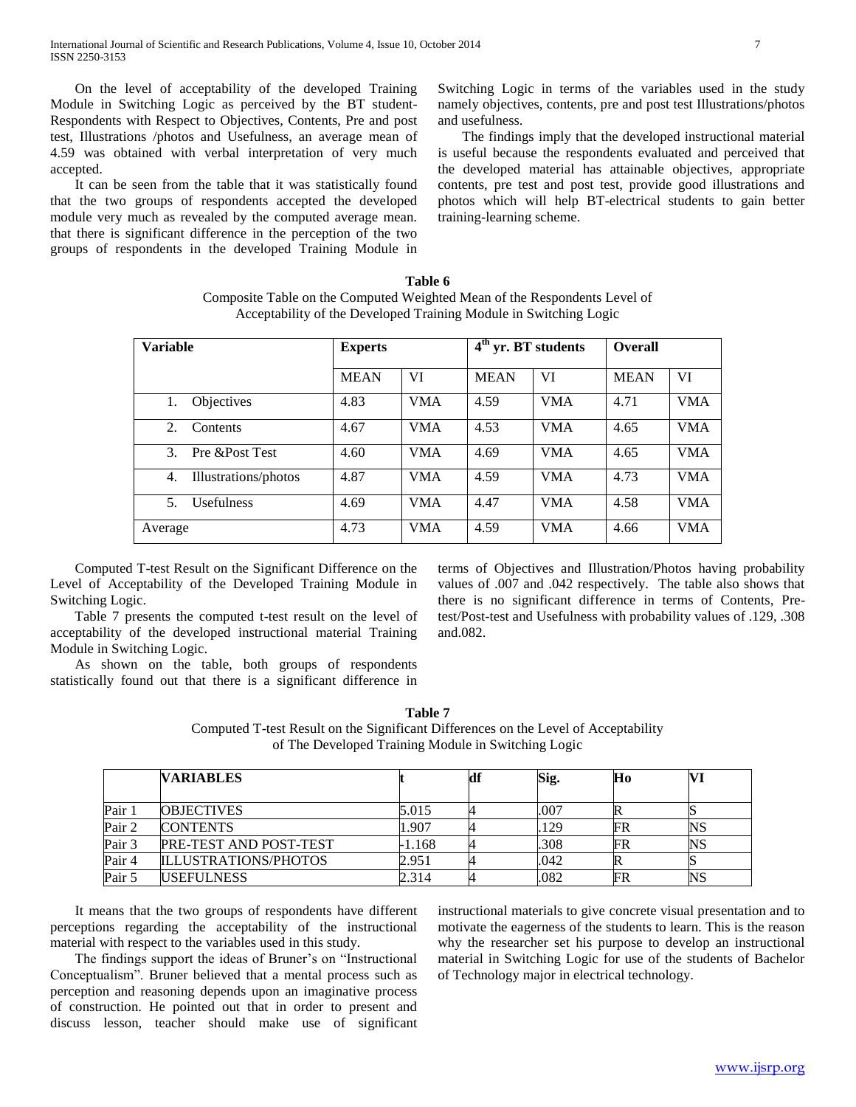On the level of acceptability of the developed Training Module in Switching Logic as perceived by the BT student-Respondents with Respect to Objectives, Contents, Pre and post test, Illustrations /photos and Usefulness, an average mean of 4.59 was obtained with verbal interpretation of very much accepted.

 It can be seen from the table that it was statistically found that the two groups of respondents accepted the developed module very much as revealed by the computed average mean. that there is significant difference in the perception of the two groups of respondents in the developed Training Module in Switching Logic in terms of the variables used in the study namely objectives, contents, pre and post test Illustrations/photos and usefulness.

 The findings imply that the developed instructional material is useful because the respondents evaluated and perceived that the developed material has attainable objectives, appropriate contents, pre test and post test, provide good illustrations and photos which will help BT-electrical students to gain better training-learning scheme.

| Table 6                                                                   |
|---------------------------------------------------------------------------|
| Composite Table on the Computed Weighted Mean of the Respondents Level of |
| Acceptability of the Developed Training Module in Switching Logic         |

| <b>Variable</b>                  | <b>Experts</b> |            |             | $4th$ yr. BT students | <b>Overall</b> |            |
|----------------------------------|----------------|------------|-------------|-----------------------|----------------|------------|
|                                  | <b>MEAN</b>    | VI         | <b>MEAN</b> | VI                    | <b>MEAN</b>    | VI         |
| Objectives                       | 4.83           | <b>VMA</b> | 4.59        | <b>VMA</b>            | 4.71           | <b>VMA</b> |
| 2.<br>Contents                   | 4.67           | <b>VMA</b> | 4.53        | <b>VMA</b>            | 4.65           | <b>VMA</b> |
| Pre & Post Test<br>$\mathcal{F}$ | 4.60           | <b>VMA</b> | 4.69        | <b>VMA</b>            | 4.65           | <b>VMA</b> |
| 4.<br>Illustrations/photos       | 4.87           | <b>VMA</b> | 4.59        | <b>VMA</b>            | 4.73           | <b>VMA</b> |
| <b>Usefulness</b><br>5.          | 4.69           | <b>VMA</b> | 4.47        | <b>VMA</b>            | 4.58           | <b>VMA</b> |
| Average                          | 4.73           | <b>VMA</b> | 4.59        | <b>VMA</b>            | 4.66           | <b>VMA</b> |

 Computed T-test Result on the Significant Difference on the Level of Acceptability of the Developed Training Module in Switching Logic.

 Table 7 presents the computed t-test result on the level of acceptability of the developed instructional material Training Module in Switching Logic.

 As shown on the table, both groups of respondents statistically found out that there is a significant difference in terms of Objectives and Illustration/Photos having probability values of .007 and .042 respectively. The table also shows that there is no significant difference in terms of Contents, Pretest/Post-test and Usefulness with probability values of .129, .308 and.082.

| <b>Table 7</b>                                                                      |  |  |  |  |  |  |  |
|-------------------------------------------------------------------------------------|--|--|--|--|--|--|--|
| Computed T-test Result on the Significant Differences on the Level of Acceptability |  |  |  |  |  |  |  |
| of The Developed Training Module in Switching Logic                                 |  |  |  |  |  |  |  |

|        | <b>VARIABLES</b>            |        | df | Sig. | Ho |    |
|--------|-----------------------------|--------|----|------|----|----|
| Pair 1 | <b>OBJECTIVES</b>           | 5.015  |    | .007 |    |    |
| Pair 2 | <b>CONTENTS</b>             | .907   |    | 129  | FR | NS |
| Pair 3 | PRE-TEST AND POST-TEST      | -1.168 |    | .308 | FR | NS |
| Pair 4 | <b>ILLUSTRATIONS/PHOTOS</b> | 2.951  |    | .042 |    |    |
| Pair 5 | <b>USEFULNESS</b>           | 2.314  |    | .082 | FR | NS |

 It means that the two groups of respondents have different perceptions regarding the acceptability of the instructional material with respect to the variables used in this study.

The findings support the ideas of Bruner's on "Instructional" Conceptualism". Bruner believed that a mental process such as perception and reasoning depends upon an imaginative process of construction. He pointed out that in order to present and discuss lesson, teacher should make use of significant instructional materials to give concrete visual presentation and to motivate the eagerness of the students to learn. This is the reason why the researcher set his purpose to develop an instructional material in Switching Logic for use of the students of Bachelor of Technology major in electrical technology.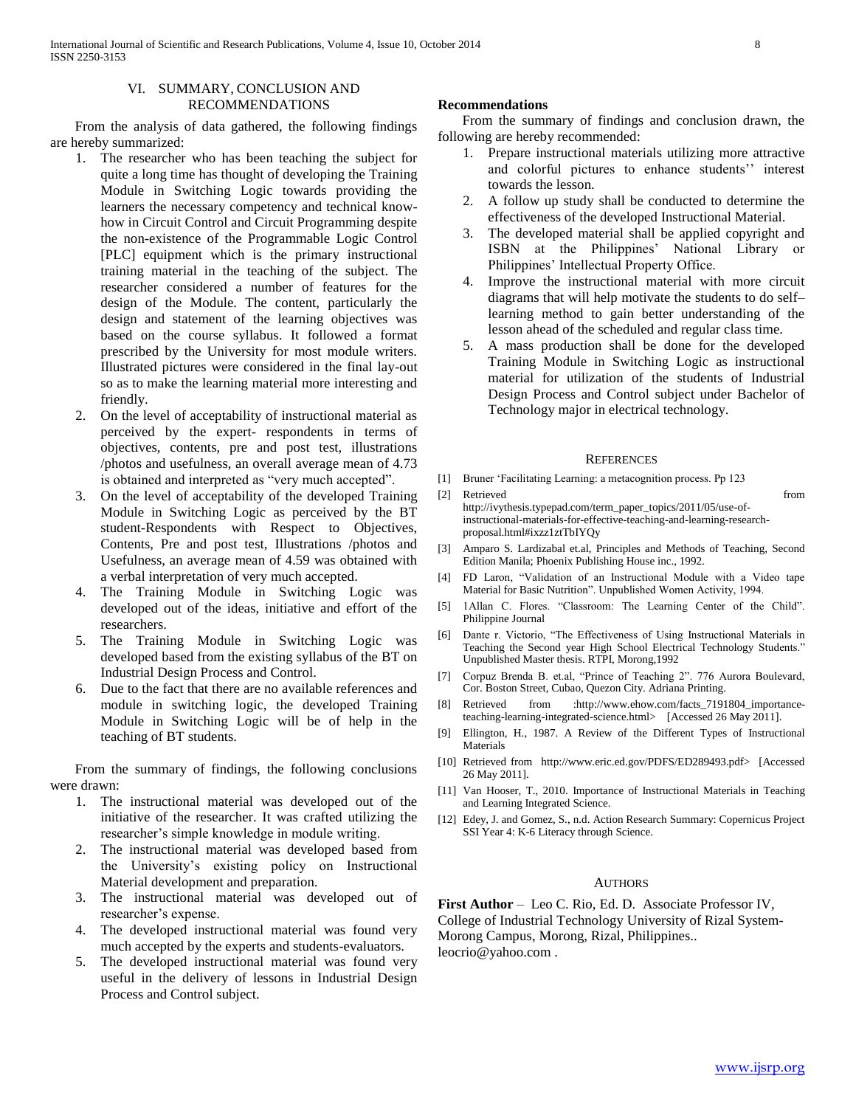## VI. SUMMARY, CONCLUSION AND RECOMMENDATIONS

 From the analysis of data gathered, the following findings are hereby summarized:

- 1. The researcher who has been teaching the subject for quite a long time has thought of developing the Training Module in Switching Logic towards providing the learners the necessary competency and technical knowhow in Circuit Control and Circuit Programming despite the non-existence of the Programmable Logic Control [PLC] equipment which is the primary instructional training material in the teaching of the subject. The researcher considered a number of features for the design of the Module. The content, particularly the design and statement of the learning objectives was based on the course syllabus. It followed a format prescribed by the University for most module writers. Illustrated pictures were considered in the final lay-out so as to make the learning material more interesting and friendly.
- 2. On the level of acceptability of instructional material as perceived by the expert- respondents in terms of objectives, contents, pre and post test, illustrations /photos and usefulness, an overall average mean of 4.73 is obtained and interpreted as "very much accepted".
- 3. On the level of acceptability of the developed Training Module in Switching Logic as perceived by the BT student-Respondents with Respect to Objectives, Contents, Pre and post test, Illustrations /photos and Usefulness, an average mean of 4.59 was obtained with a verbal interpretation of very much accepted.
- 4. The Training Module in Switching Logic was developed out of the ideas, initiative and effort of the researchers.
- 5. The Training Module in Switching Logic was developed based from the existing syllabus of the BT on Industrial Design Process and Control.
- 6. Due to the fact that there are no available references and module in switching logic, the developed Training Module in Switching Logic will be of help in the teaching of BT students.

 From the summary of findings, the following conclusions were drawn:

- 1. The instructional material was developed out of the initiative of the researcher. It was crafted utilizing the researcher"s simple knowledge in module writing.
- 2. The instructional material was developed based from the University"s existing policy on Instructional Material development and preparation.
- 3. The instructional material was developed out of researcher"s expense.
- 4. The developed instructional material was found very much accepted by the experts and students-evaluators.
- 5. The developed instructional material was found very useful in the delivery of lessons in Industrial Design Process and Control subject.

## **Recommendations**

 From the summary of findings and conclusion drawn, the following are hereby recommended:

- 1. Prepare instructional materials utilizing more attractive and colorful pictures to enhance students" interest towards the lesson.
- 2. A follow up study shall be conducted to determine the effectiveness of the developed Instructional Material.
- 3. The developed material shall be applied copyright and ISBN at the Philippines" National Library or Philippines' Intellectual Property Office.
- 4. Improve the instructional material with more circuit diagrams that will help motivate the students to do self– learning method to gain better understanding of the lesson ahead of the scheduled and regular class time.
- 5. A mass production shall be done for the developed Training Module in Switching Logic as instructional material for utilization of the students of Industrial Design Process and Control subject under Bachelor of Technology major in electrical technology.

#### **REFERENCES**

- [1] Bruner "Facilitating Learning: a metacognition process. Pp 123
- [2] Retrieved from from  $\blacksquare$ http://ivythesis.typepad.com/term\_paper\_topics/2011/05/use-ofinstructional-materials-for-effective-teaching-and-learning-researchproposal.html#ixzz1ztTbIYQy
- [3] Amparo S. Lardizabal et.al, Principles and Methods of Teaching, Second Edition Manila; Phoenix Publishing House inc., 1992.
- [4] FD Laron, "Validation of an Instructional Module with a Video tape Material for Basic Nutrition". Unpublished Women Activity, 1994.
- [5] 1Allan C. Flores. "Classroom: The Learning Center of the Child". Philippine Journal
- [6] Dante r. Victorio, "The Effectiveness of Using Instructional Materials in Teaching the Second year High School Electrical Technology Students." Unpublished Master thesis. RTPI, Morong,1992
- [7] Corpuz Brenda B. et.al, "Prince of Teaching 2". 776 Aurora Boulevard, Cor. Boston Street, Cubao, Quezon City. Adriana Printing.
- [8] Retrieved from :http://www.ehow.com/facts\_7191804\_importanceteaching-learning-integrated-science.html> [Accessed 26 May 2011].
- [9] Ellington, H., 1987. A Review of the Different Types of Instructional Materials
- [10] Retrieved from http://www.eric.ed.gov/PDFS/ED289493.pdf> [Accessed 26 May 2011].
- [11] Van Hooser, T., 2010. Importance of Instructional Materials in Teaching and Learning Integrated Science.
- [12] Edey, J. and Gomez, S., n.d. Action Research Summary: Copernicus Project SSI Year 4: K-6 Literacy through Science.

#### **AUTHORS**

**First Author** – Leo C. Rio, Ed. D. Associate Professor IV, College of Industrial Technology University of Rizal System-Morong Campus, Morong, Rizal, Philippines.. leocrio@yahoo.com .